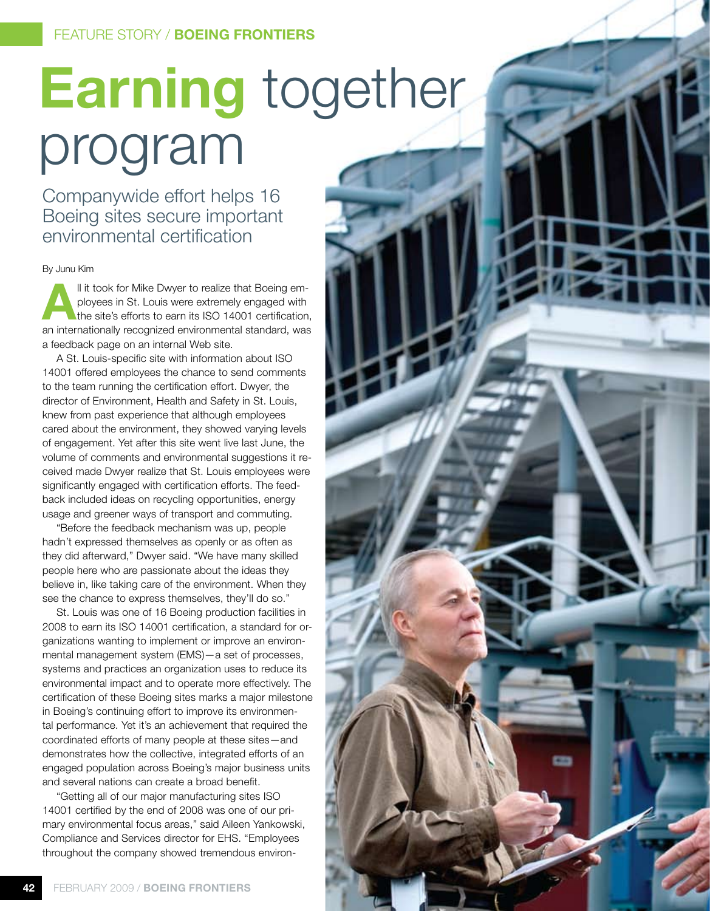# **Earning** together program

Companywide effort helps 16 Boeing sites secure important environmental certification

By Junu Kim

**All it took for Mike Dwyer to realize that Boeing employees in St. Louis were extremely engaged with the site's efforts to earn its ISO 14001 certification** ployees in St. Louis were extremely engaged with the site's efforts to earn its ISO 14001 certification, an internationally recognized environmental standard, was a feedback page on an internal Web site.

A St. Louis-specific site with information about ISO 14001 offered employees the chance to send comments to the team running the certification effort. Dwyer, the director of Environment, Health and Safety in St. Louis, knew from past experience that although employees cared about the environment, they showed varying levels of engagement. Yet after this site went live last June, the volume of comments and environmental suggestions it received made Dwyer realize that St. Louis employees were significantly engaged with certification efforts. The feedback included ideas on recycling opportunities, energy usage and greener ways of transport and commuting.

"Before the feedback mechanism was up, people hadn't expressed themselves as openly or as often as they did afterward," Dwyer said. "We have many skilled people here who are passionate about the ideas they believe in, like taking care of the environment. When they see the chance to express themselves, they'll do so."

St. Louis was one of 16 Boeing production facilities in 2008 to earn its ISO 14001 certification, a standard for organizations wanting to implement or improve an environmental management system (EMS)—a set of processes, systems and practices an organization uses to reduce its environmental impact and to operate more effectively. The certification of these Boeing sites marks a major milestone in Boeing's continuing effort to improve its environmental performance. Yet it's an achievement that required the coordinated efforts of many people at these sites—and demonstrates how the collective, integrated efforts of an engaged population across Boeing's major business units and several nations can create a broad benefit.

"Getting all of our major manufacturing sites ISO 14001 certified by the end of 2008 was one of our primary environmental focus areas," said Aileen Yankowski, Compliance and Services director for EHS. "Employees throughout the company showed tremendous environ-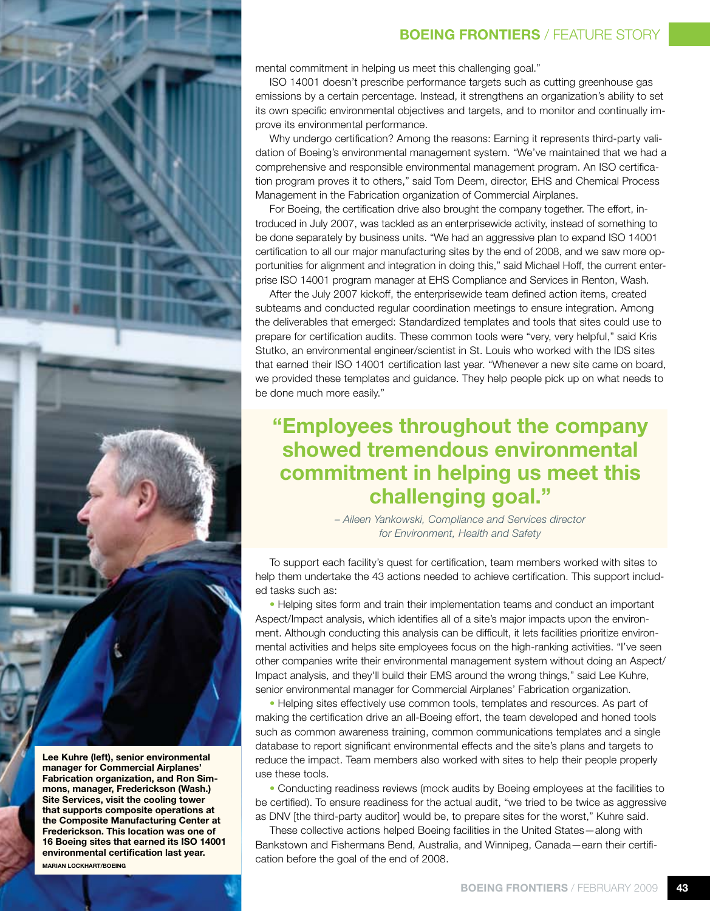

**Lee Kuhre (left), senior environmental manager for Commercial Airplanes' Fabrication organization, and Ron Simmons, manager, Frederickson (Wash.) Site Services, visit the cooling tower that supports composite operations at the Composite Manufacturing Center at Frederickson. This location was one of 16 Boeing sites that earned its ISO 14001 environmental certification last year.**

**Marian Lockhart/Boeing**

### **BOEING FRONTIERS** / FEATURE STORY

mental commitment in helping us meet this challenging goal."

ISO 14001 doesn't prescribe performance targets such as cutting greenhouse gas emissions by a certain percentage. Instead, it strengthens an organization's ability to set its own specific environmental objectives and targets, and to monitor and continually improve its environmental performance.

Why undergo certification? Among the reasons: Earning it represents third-party validation of Boeing's environmental management system. "We've maintained that we had a comprehensive and responsible environmental management program. An ISO certification program proves it to others," said Tom Deem, director, EHS and Chemical Process Management in the Fabrication organization of Commercial Airplanes.

For Boeing, the certification drive also brought the company together. The effort, introduced in July 2007, was tackled as an enterprisewide activity, instead of something to be done separately by business units. "We had an aggressive plan to expand ISO 14001 certification to all our major manufacturing sites by the end of 2008, and we saw more opportunities for alignment and integration in doing this," said Michael Hoff, the current enterprise ISO 14001 program manager at EHS Compliance and Services in Renton, Wash.

After the July 2007 kickoff, the enterprisewide team defined action items, created subteams and conducted regular coordination meetings to ensure integration. Among the deliverables that emerged: Standardized templates and tools that sites could use to prepare for certification audits. These common tools were "very, very helpful," said Kris Stutko, an environmental engineer/scientist in St. Louis who worked with the IDS sites that earned their ISO 14001 certification last year. "Whenever a new site came on board, we provided these templates and guidance. They help people pick up on what needs to be done much more easily."

### **"Employees throughout the company showed tremendous environmental commitment in helping us meet this challenging goal."**

*– Aileen Yankowski, Compliance and Services director for Environment, Health and Safety*

To support each facility's quest for certification, team members worked with sites to help them undertake the 43 actions needed to achieve certification. This support included tasks such as:

• Helping sites form and train their implementation teams and conduct an important Aspect/Impact analysis, which identifies all of a site's major impacts upon the environment. Although conducting this analysis can be difficult, it lets facilities prioritize environmental activities and helps site employees focus on the high-ranking activities. "I've seen other companies write their environmental management system without doing an Aspect/ Impact analysis, and they'll build their EMS around the wrong things," said Lee Kuhre, senior environmental manager for Commercial Airplanes' Fabrication organization.

• Helping sites effectively use common tools, templates and resources. As part of making the certification drive an all-Boeing effort, the team developed and honed tools such as common awareness training, common communications templates and a single database to report significant environmental effects and the site's plans and targets to reduce the impact. Team members also worked with sites to help their people properly use these tools.

• Conducting readiness reviews (mock audits by Boeing employees at the facilities to be certified). To ensure readiness for the actual audit, "we tried to be twice as aggressive as DNV [the third-party auditor] would be, to prepare sites for the worst," Kuhre said.

These collective actions helped Boeing facilities in the United States—along with Bankstown and Fishermans Bend, Australia, and Winnipeg, Canada—earn their certification before the goal of the end of 2008.